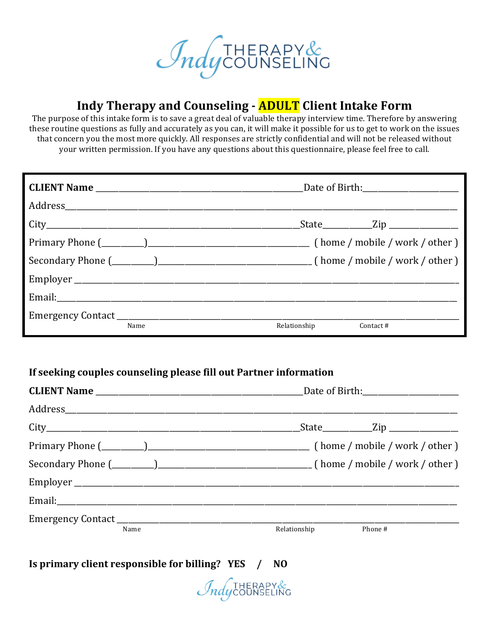

# **Indy Therapy and Counseling - ADULT Client Intake Form**

The purpose of this intake form is to save a great deal of valuable therapy interview time. Therefore by answering these routine questions as fully and accurately as you can, it will make it possible for us to get to work on the issues that concern you the most more quickly. All responses are strictly confidential and will not be released without your written permission. If you have any questions about this questionnaire, please feel free to call.

|      |              | _State____________Zip ________________ |
|------|--------------|----------------------------------------|
|      |              |                                        |
|      |              |                                        |
|      |              |                                        |
|      |              |                                        |
|      |              |                                        |
| Name | Relationship | Contact #                              |

#### If seeking couples counseling please fill out Partner information

|      | _State_____________Zip __________________ |  |  |  |
|------|-------------------------------------------|--|--|--|
|      |                                           |  |  |  |
|      |                                           |  |  |  |
|      |                                           |  |  |  |
|      |                                           |  |  |  |
|      |                                           |  |  |  |
| Name | Relationship<br>Phone #                   |  |  |  |

**Is primary client responsible for billing?** YES / NO

*Indycounseling*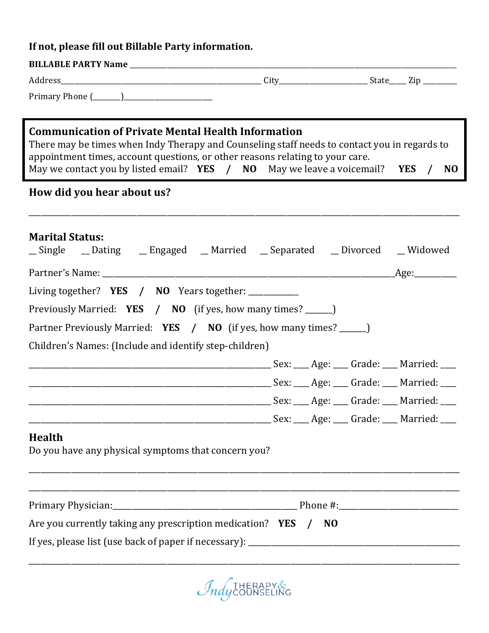#### If not, please fill out Billable Party information.

| <b>BILLABLE PARTY Name</b>                  |      |                |
|---------------------------------------------|------|----------------|
| adress and a                                | City | ______________ |
| Primary Phone<br>__________<br>____________ |      |                |

### **Communication of Private Mental Health Information**

There may be times when Indy Therapy and Counseling staff needs to contact you in regards to appointment times, account questions, or other reasons relating to your care. May we contact you by listed email? **YES** / **NO** May we leave a voicemail? **YES** / **NO** 

\_\_\_\_\_\_\_\_\_\_\_\_\_\_\_\_\_\_\_\_\_\_\_\_\_\_\_\_\_\_\_\_\_\_\_\_\_\_\_\_\_\_\_\_\_\_\_\_\_\_\_\_\_\_\_\_\_\_\_\_\_\_\_\_\_\_\_\_\_\_\_\_\_\_\_\_\_\_\_\_\_\_\_\_\_\_\_\_\_\_\_\_\_\_\_\_\_\_\_\_\_\_\_\_\_\_\_\_\_\_\_\_

#### How did you hear about us?

| <b>Marital Status:</b><br>_Single _ Dating _ Engaged _ Married _ Separated _ Divorced _ Widowed |  |  |  |  |  |  |  |
|-------------------------------------------------------------------------------------------------|--|--|--|--|--|--|--|
|                                                                                                 |  |  |  |  |  |  |  |
| Living together? <b>YES</b> / <b>NO</b> Years together: __________                              |  |  |  |  |  |  |  |
| Previously Married: YES / NO (if yes, how many times? _____)                                    |  |  |  |  |  |  |  |
| Partner Previously Married: YES / NO (if yes, how many times? _____)                            |  |  |  |  |  |  |  |
| Children's Names: (Include and identify step-children)                                          |  |  |  |  |  |  |  |
|                                                                                                 |  |  |  |  |  |  |  |
|                                                                                                 |  |  |  |  |  |  |  |
|                                                                                                 |  |  |  |  |  |  |  |
|                                                                                                 |  |  |  |  |  |  |  |
| <b>Health</b><br>Do you have any physical symptoms that concern you?                            |  |  |  |  |  |  |  |
|                                                                                                 |  |  |  |  |  |  |  |
| Are you currently taking any prescription medication? <b>YES</b> / NO                           |  |  |  |  |  |  |  |
|                                                                                                 |  |  |  |  |  |  |  |

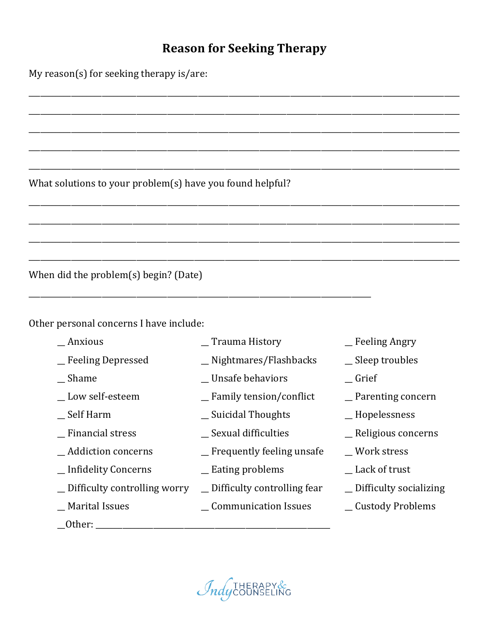# **Reason for Seeking Therapy**

\_\_\_\_\_\_\_\_\_\_\_\_\_\_\_\_\_\_\_\_\_\_\_\_\_\_\_\_\_\_\_\_\_\_\_\_\_\_\_\_\_\_\_\_\_\_\_\_\_\_\_\_\_\_\_\_\_\_\_\_\_\_\_\_\_\_\_\_\_\_\_\_\_\_\_\_\_\_\_\_\_\_\_\_\_\_\_\_\_\_\_\_\_\_\_\_\_\_\_\_\_\_\_\_\_\_\_\_\_\_\_\_

\_\_\_\_\_\_\_\_\_\_\_\_\_\_\_\_\_\_\_\_\_\_\_\_\_\_\_\_\_\_\_\_\_\_\_\_\_\_\_\_\_\_\_\_\_\_\_\_\_\_\_\_\_\_\_\_\_\_\_\_\_\_\_\_\_\_\_\_\_\_\_\_\_\_\_\_\_\_\_\_\_\_\_\_\_\_\_\_\_\_\_\_\_\_\_\_\_\_\_\_\_\_\_\_\_\_\_\_\_\_\_\_

\_\_\_\_\_\_\_\_\_\_\_\_\_\_\_\_\_\_\_\_\_\_\_\_\_\_\_\_\_\_\_\_\_\_\_\_\_\_\_\_\_\_\_\_\_\_\_\_\_\_\_\_\_\_\_\_\_\_\_\_\_\_\_\_\_\_\_\_\_\_\_\_\_\_\_\_\_\_\_\_\_\_\_\_\_\_\_\_\_\_\_\_\_\_\_\_\_\_\_\_\_\_\_\_\_\_\_\_\_\_\_\_

\_\_\_\_\_\_\_\_\_\_\_\_\_\_\_\_\_\_\_\_\_\_\_\_\_\_\_\_\_\_\_\_\_\_\_\_\_\_\_\_\_\_\_\_\_\_\_\_\_\_\_\_\_\_\_\_\_\_\_\_\_\_\_\_\_\_\_\_\_\_\_\_\_\_\_\_\_\_\_\_\_\_\_\_\_\_\_\_\_\_\_\_\_\_\_\_\_\_\_\_\_\_\_\_\_\_\_\_\_\_\_\_

\_\_\_\_\_\_\_\_\_\_\_\_\_\_\_\_\_\_\_\_\_\_\_\_\_\_\_\_\_\_\_\_\_\_\_\_\_\_\_\_\_\_\_\_\_\_\_\_\_\_\_\_\_\_\_\_\_\_\_\_\_\_\_\_\_\_\_\_\_\_\_\_\_\_\_\_\_\_\_\_\_\_\_\_\_\_\_\_\_\_\_\_\_\_\_\_\_\_\_\_\_\_\_\_\_\_\_\_\_\_\_\_

\_\_\_\_\_\_\_\_\_\_\_\_\_\_\_\_\_\_\_\_\_\_\_\_\_\_\_\_\_\_\_\_\_\_\_\_\_\_\_\_\_\_\_\_\_\_\_\_\_\_\_\_\_\_\_\_\_\_\_\_\_\_\_\_\_\_\_\_\_\_\_\_\_\_\_\_\_\_\_\_\_\_\_\_\_\_\_\_\_\_\_\_\_\_\_\_\_\_\_\_\_\_\_\_\_\_\_\_\_\_\_\_

\_\_\_\_\_\_\_\_\_\_\_\_\_\_\_\_\_\_\_\_\_\_\_\_\_\_\_\_\_\_\_\_\_\_\_\_\_\_\_\_\_\_\_\_\_\_\_\_\_\_\_\_\_\_\_\_\_\_\_\_\_\_\_\_\_\_\_\_\_\_\_\_\_\_\_\_\_\_\_\_\_\_\_\_\_\_\_\_\_\_\_\_\_\_\_\_\_\_\_\_\_\_\_\_\_\_\_\_\_\_\_\_

\_\_\_\_\_\_\_\_\_\_\_\_\_\_\_\_\_\_\_\_\_\_\_\_\_\_\_\_\_\_\_\_\_\_\_\_\_\_\_\_\_\_\_\_\_\_\_\_\_\_\_\_\_\_\_\_\_\_\_\_\_\_\_\_\_\_\_\_\_\_\_\_\_\_\_\_\_\_\_\_\_\_\_\_\_\_\_\_\_\_\_\_\_\_\_\_\_\_\_\_\_\_\_\_\_\_\_\_\_\_\_\_

\_\_\_\_\_\_\_\_\_\_\_\_\_\_\_\_\_\_\_\_\_\_\_\_\_\_\_\_\_\_\_\_\_\_\_\_\_\_\_\_\_\_\_\_\_\_\_\_\_\_\_\_\_\_\_\_\_\_\_\_\_\_\_\_\_\_\_\_\_\_\_\_\_\_\_\_\_\_\_\_\_\_\_\_\_\_\_\_\_\_\_\_\_\_\_\_\_\_\_\_\_\_\_\_\_\_\_\_\_\_\_\_

\_\_\_\_\_\_\_\_\_\_\_\_\_\_\_\_\_\_\_\_\_\_\_\_\_\_\_\_\_\_\_\_\_\_\_\_\_\_\_\_\_\_\_\_\_\_\_\_\_\_\_\_\_\_\_\_\_\_\_\_\_\_\_\_\_\_\_\_\_\_\_\_\_\_\_\_\_\_\_\_\_\_\_\_\_\_\_\_\_

My reason(s) for seeking therapy is/are:

What solutions to your  $problem(s)$  have you found helpful?

When did the problem $(s)$  begin? (Date)

Other personal concerns I have include:

- 
- 
- 
- 
- 
- 
- 
- 
- $\Box$  Difficulty controlling worry  $\Box$  Difficulty controlling fear  $\Box$  Difficulty socializing
- 
- \_\_Other: \_\_\_\_\_\_\_\_\_\_\_\_\_\_\_\_\_\_\_\_\_\_\_\_\_\_\_\_\_\_\_\_\_\_\_\_\_\_\_\_\_\_\_\_\_\_\_\_\_\_\_\_\_\_\_\_\_\_\_\_\_
- \_\_ Anxious \_\_ Trauma History \_\_ Feeling Angry
- \_\_ Feeling Depressed \_\_ Nightmares/Flashbacks \_\_ Sleep troubles
- Shame **Example 3** Unsafe behaviors Grief
- \_\_ Low self-esteem \_\_ Family tension/conflict \_\_ Parenting concern
- \_\_ Self Harm \_\_ Suicidal Thoughts \_\_ Hopelessness
	-
- $\Box$  Addiction concerns  $\Box$  Frequently feeling unsafe  $\Box$  Work stress
- $\Box$  Infidelity Concerns  $\Box$  Eating problems  $\Box$  Lack of trust
	-
- \_\_ Marital Issues \_\_ Communication Issues \_\_ Custody Problems
- 
- 
- 
- 
- 
- \_\_ Financial stress \_\_ Sexual difficulties \_\_ Religious concerns
	-
	-
	-
	-

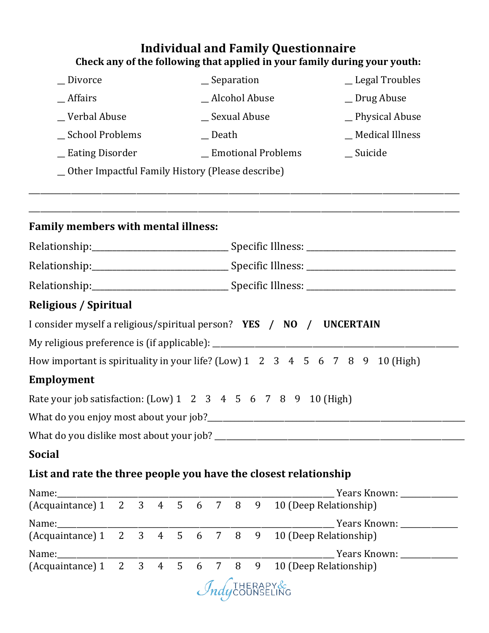## **Individual and Family Questionnaire** Check any of the following that applied in your family during your youth:

| _Divorce                                                             |             |                |   |  |                | $S$ eparation  |   |   |                     | _Legal Troubles                                                               |
|----------------------------------------------------------------------|-------------|----------------|---|--|----------------|----------------|---|---|---------------------|-------------------------------------------------------------------------------|
| $-Affairs$                                                           |             |                |   |  | _Alcohol Abuse |                |   |   |                     | _Drug Abuse                                                                   |
| _Verbal Abuse                                                        |             |                |   |  | _Sexual Abuse  |                |   |   |                     | _Physical Abuse                                                               |
| School Problems                                                      |             |                |   |  |                | $\equiv$ Death |   |   |                     | _ Medical Illness                                                             |
| _Eating Disorder                                                     |             |                |   |  |                |                |   |   | _Emotional Problems | $\_$ Suicide                                                                  |
| _ Other Impactful Family History (Please describe)                   |             |                |   |  |                |                |   |   |                     |                                                                               |
|                                                                      |             |                |   |  |                |                |   |   |                     |                                                                               |
|                                                                      |             |                |   |  |                |                |   |   |                     |                                                                               |
| <b>Family members with mental illness:</b>                           |             |                |   |  |                |                |   |   |                     |                                                                               |
|                                                                      |             |                |   |  |                |                |   |   |                     |                                                                               |
|                                                                      |             |                |   |  |                |                |   |   |                     |                                                                               |
|                                                                      |             |                |   |  |                |                |   |   |                     |                                                                               |
| <b>Religious / Spiritual</b>                                         |             |                |   |  |                |                |   |   |                     |                                                                               |
| I consider myself a religious/spiritual person? YES / NO / UNCERTAIN |             |                |   |  |                |                |   |   |                     |                                                                               |
|                                                                      |             |                |   |  |                |                |   |   |                     |                                                                               |
|                                                                      |             |                |   |  |                |                |   |   |                     | How important is spirituality in your life? (Low) 1 2 3 4 5 6 7 8 9 10 (High) |
| <b>Employment</b>                                                    |             |                |   |  |                |                |   |   |                     |                                                                               |
| Rate your job satisfaction: (Low) 1 2 3 4 5 6 7 8 9 10 (High)        |             |                |   |  |                |                |   |   |                     |                                                                               |
|                                                                      |             |                |   |  |                |                |   |   |                     |                                                                               |
| What do you dislike most about your job? _______                     |             |                |   |  |                |                |   |   |                     |                                                                               |
| <b>Social</b>                                                        |             |                |   |  |                |                |   |   |                     |                                                                               |
| List and rate the three people you have the closest relationship     |             |                |   |  |                |                |   |   |                     |                                                                               |
|                                                                      |             |                |   |  |                |                |   |   |                     |                                                                               |
| Name:<br>(Acquaintance) 1 2 3 4 5 6 7                                |             |                |   |  |                |                | 8 | 9 |                     | 10 (Deep Relationship)                                                        |
| Name:                                                                |             |                |   |  |                |                |   |   |                     |                                                                               |
| (Acquaintance) 1                                                     | $2^{\circ}$ | 3 4 5 6 7 8    |   |  |                |                |   | 9 |                     | 10 (Deep Relationship)                                                        |
| Name:                                                                |             |                |   |  |                |                |   |   |                     | _ Years Known: ____________                                                   |
| (Acquaintance) 1                                                     | $2^{\circ}$ | 3 <sup>7</sup> | 4 |  | 5 6 7          |                | 8 | 9 |                     | 10 (Deep Relationship)                                                        |

*Indycounseling*